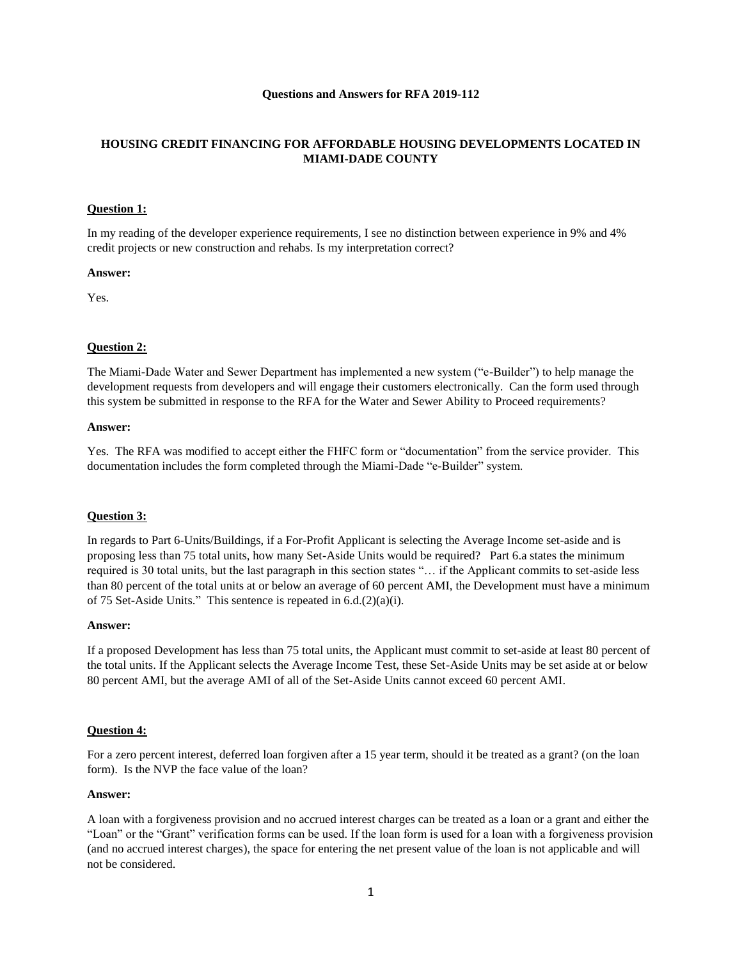### **Questions and Answers for RFA 2019-112**

# **HOUSING CREDIT FINANCING FOR AFFORDABLE HOUSING DEVELOPMENTS LOCATED IN MIAMI-DADE COUNTY**

### **Question 1:**

In my reading of the developer experience requirements, I see no distinction between experience in 9% and 4% credit projects or new construction and rehabs. Is my interpretation correct?

#### **Answer:**

Yes.

# **Question 2:**

The Miami-Dade Water and Sewer Department has implemented a new system ("e-Builder") to help manage the development requests from developers and will engage their customers electronically. Can the form used through this system be submitted in response to the RFA for the Water and Sewer Ability to Proceed requirements?

#### **Answer:**

Yes. The RFA was modified to accept either the FHFC form or "documentation" from the service provider. This documentation includes the form completed through the Miami-Dade "e-Builder" system.

#### **Question 3:**

In regards to Part 6-Units/Buildings, if a For-Profit Applicant is selecting the Average Income set-aside and is proposing less than 75 total units, how many Set-Aside Units would be required? Part 6.a states the minimum required is 30 total units, but the last paragraph in this section states "… if the Applicant commits to set-aside less than 80 percent of the total units at or below an average of 60 percent AMI, the Development must have a minimum of 75 Set-Aside Units." This sentence is repeated in 6.d.(2)(a)(i).

#### **Answer:**

If a proposed Development has less than 75 total units, the Applicant must commit to set-aside at least 80 percent of the total units. If the Applicant selects the Average Income Test, these Set-Aside Units may be set aside at or below 80 percent AMI, but the average AMI of all of the Set-Aside Units cannot exceed 60 percent AMI.

### **Question 4:**

For a zero percent interest, deferred loan forgiven after a 15 year term, should it be treated as a grant? (on the loan form). Is the NVP the face value of the loan?

#### **Answer:**

A loan with a forgiveness provision and no accrued interest charges can be treated as a loan or a grant and either the "Loan" or the "Grant" verification forms can be used. If the loan form is used for a loan with a forgiveness provision (and no accrued interest charges), the space for entering the net present value of the loan is not applicable and will not be considered.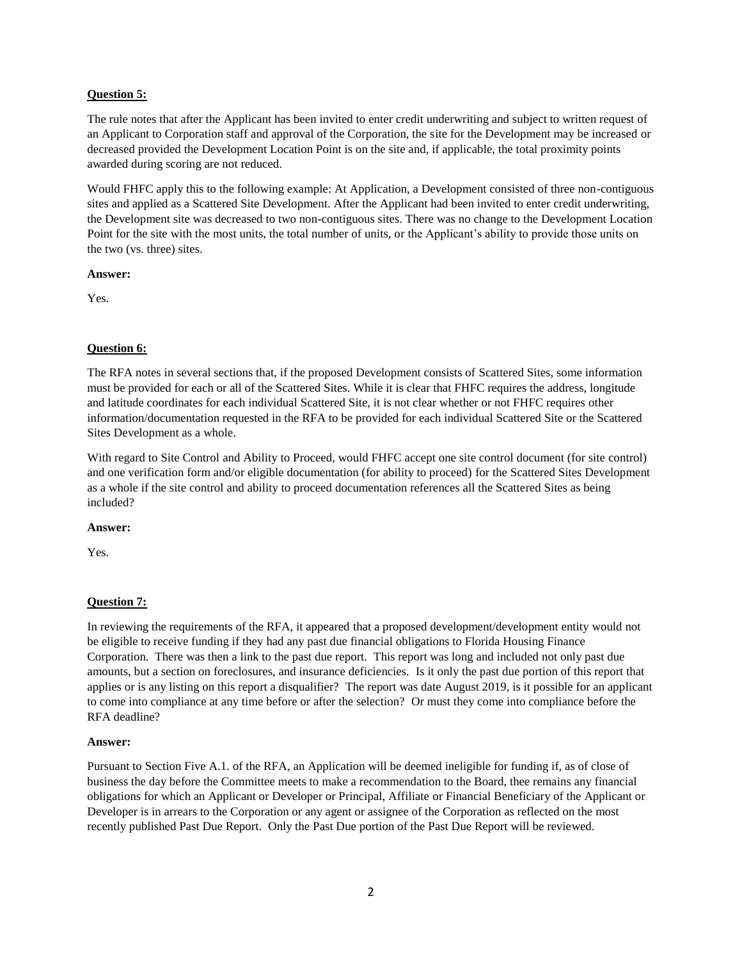## **Question 5:**

The rule notes that after the Applicant has been invited to enter credit underwriting and subject to written request of an Applicant to Corporation staff and approval of the Corporation, the site for the Development may be increased or decreased provided the Development Location Point is on the site and, if applicable, the total proximity points awarded during scoring are not reduced.

Would FHFC apply this to the following example: At Application, a Development consisted of three non-contiguous sites and applied as a Scattered Site Development. After the Applicant had been invited to enter credit underwriting, the Development site was decreased to two non-contiguous sites. There was no change to the Development Location Point for the site with the most units, the total number of units, or the Applicant's ability to provide those units on the two (vs. three) sites.

#### **Answer:**

Yes.

## **Question 6:**

The RFA notes in several sections that, if the proposed Development consists of Scattered Sites, some information must be provided for each or all of the Scattered Sites. While it is clear that FHFC requires the address, longitude and latitude coordinates for each individual Scattered Site, it is not clear whether or not FHFC requires other information/documentation requested in the RFA to be provided for each individual Scattered Site or the Scattered Sites Development as a whole.

With regard to Site Control and Ability to Proceed, would FHFC accept one site control document (for site control) and one verification form and/or eligible documentation (for ability to proceed) for the Scattered Sites Development as a whole if the site control and ability to proceed documentation references all the Scattered Sites as being included?

### **Answer:**

Yes.

### **Question 7:**

In reviewing the requirements of the RFA, it appeared that a proposed development/development entity would not be eligible to receive funding if they had any past due financial obligations to Florida Housing Finance Corporation. There was then a link to the past due report. This report was long and included not only past due amounts, but a section on foreclosures, and insurance deficiencies. Is it only the past due portion of this report that applies or is any listing on this report a disqualifier? The report was date August 2019, is it possible for an applicant to come into compliance at any time before or after the selection? Or must they come into compliance before the RFA deadline?

### **Answer:**

Pursuant to Section Five A.1. of the RFA, an Application will be deemed ineligible for funding if, as of close of business the day before the Committee meets to make a recommendation to the Board, thee remains any financial obligations for which an Applicant or Developer or Principal, Affiliate or Financial Beneficiary of the Applicant or Developer is in arrears to the Corporation or any agent or assignee of the Corporation as reflected on the most recently published Past Due Report. Only the Past Due portion of the Past Due Report will be reviewed.